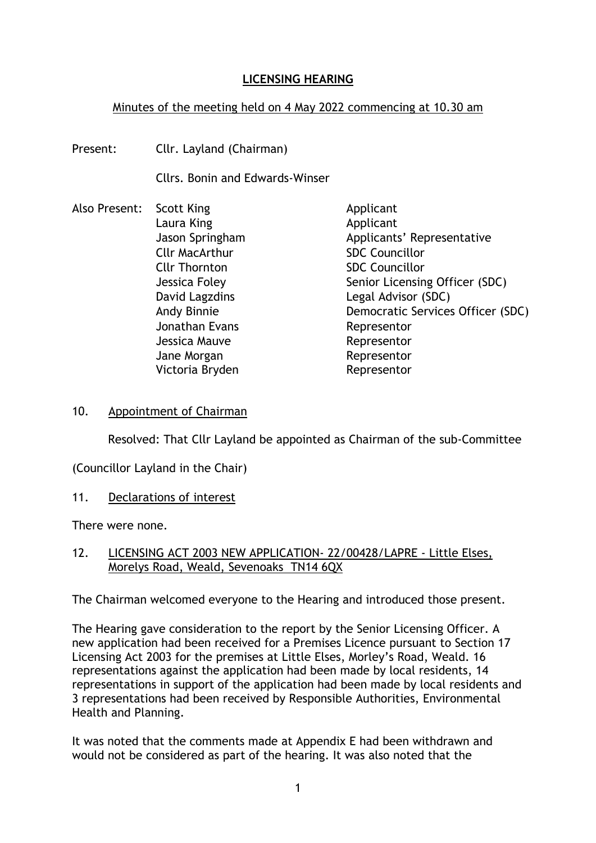# **LICENSING HEARING**

## Minutes of the meeting held on 4 May 2022 commencing at 10.30 am

Present: Cllr. Layland (Chairman)

Cllrs. Bonin and Edwards-Winser

- Also Present: Scott King Applicant Laura King **Applicant** Jason Springham Applicants' Representative Cllr MacArthur SDC Councillor Cllr Thornton SDC Councillor Jessica Foley Senior Licensing Officer (SDC) David Lagzdins **Legal Advisor (SDC)** Andy Binnie Democratic Services Officer (SDC) Jonathan Evans **Representor** Jessica Mauve **Representor** Jane Morgan **Representor** Victoria Bryden Representor
- 10. Appointment of Chairman

Resolved: That Cllr Layland be appointed as Chairman of the sub-Committee

(Councillor Layland in the Chair)

11. Declarations of interest

There were none.

## 12. LICENSING ACT 2003 NEW APPLICATION- 22/00428/LAPRE - Little Elses, Morelys Road, Weald, Sevenoaks TN14 6QX

The Chairman welcomed everyone to the Hearing and introduced those present.

The Hearing gave consideration to the report by the Senior Licensing Officer. A new application had been received for a Premises Licence pursuant to Section 17 Licensing Act 2003 for the premises at Little Elses, Morley's Road, Weald. 16 representations against the application had been made by local residents, 14 representations in support of the application had been made by local residents and 3 representations had been received by Responsible Authorities, Environmental Health and Planning.

It was noted that the comments made at Appendix E had been withdrawn and would not be considered as part of the hearing. It was also noted that the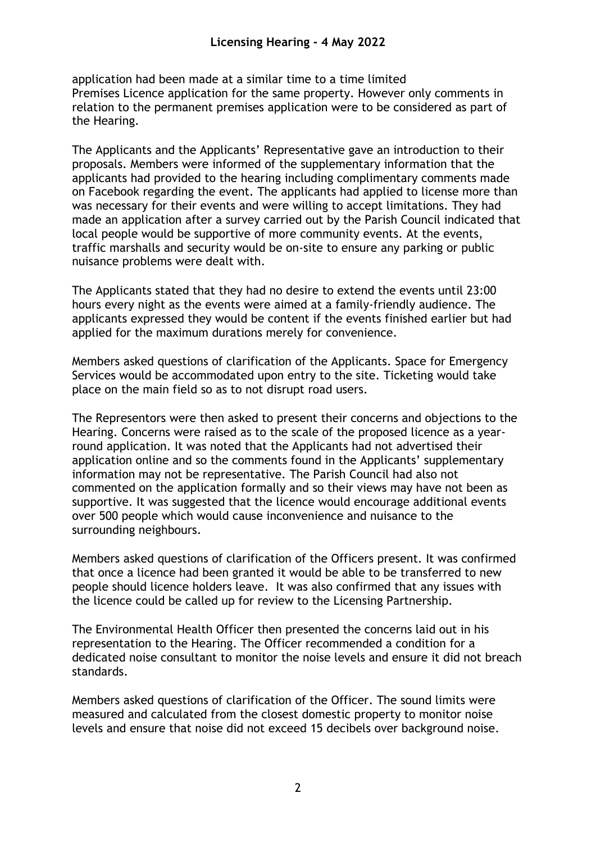application had been made at a similar time to a time limited Premises Licence application for the same property. However only comments in relation to the permanent premises application were to be considered as part of the Hearing.

The Applicants and the Applicants' Representative gave an introduction to their proposals. Members were informed of the supplementary information that the applicants had provided to the hearing including complimentary comments made on Facebook regarding the event. The applicants had applied to license more than was necessary for their events and were willing to accept limitations. They had made an application after a survey carried out by the Parish Council indicated that local people would be supportive of more community events. At the events, traffic marshalls and security would be on-site to ensure any parking or public nuisance problems were dealt with.

The Applicants stated that they had no desire to extend the events until 23:00 hours every night as the events were aimed at a family-friendly audience. The applicants expressed they would be content if the events finished earlier but had applied for the maximum durations merely for convenience.

Members asked questions of clarification of the Applicants. Space for Emergency Services would be accommodated upon entry to the site. Ticketing would take place on the main field so as to not disrupt road users.

The Representors were then asked to present their concerns and objections to the Hearing. Concerns were raised as to the scale of the proposed licence as a yearround application. It was noted that the Applicants had not advertised their application online and so the comments found in the Applicants' supplementary information may not be representative. The Parish Council had also not commented on the application formally and so their views may have not been as supportive. It was suggested that the licence would encourage additional events over 500 people which would cause inconvenience and nuisance to the surrounding neighbours.

Members asked questions of clarification of the Officers present. It was confirmed that once a licence had been granted it would be able to be transferred to new people should licence holders leave. It was also confirmed that any issues with the licence could be called up for review to the Licensing Partnership.

The Environmental Health Officer then presented the concerns laid out in his representation to the Hearing. The Officer recommended a condition for a dedicated noise consultant to monitor the noise levels and ensure it did not breach standards.

Members asked questions of clarification of the Officer. The sound limits were measured and calculated from the closest domestic property to monitor noise levels and ensure that noise did not exceed 15 decibels over background noise.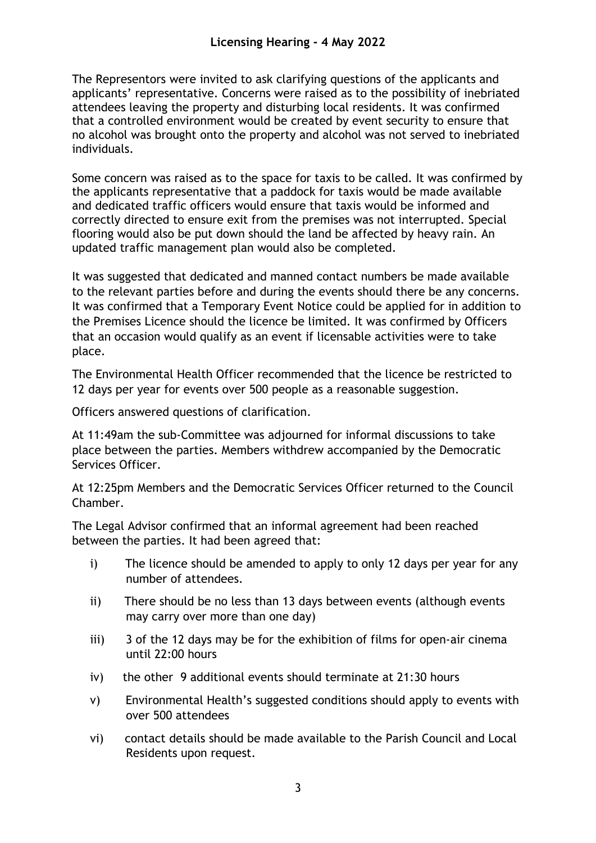The Representors were invited to ask clarifying questions of the applicants and applicants' representative. Concerns were raised as to the possibility of inebriated attendees leaving the property and disturbing local residents. It was confirmed that a controlled environment would be created by event security to ensure that no alcohol was brought onto the property and alcohol was not served to inebriated individuals.

Some concern was raised as to the space for taxis to be called. It was confirmed by the applicants representative that a paddock for taxis would be made available and dedicated traffic officers would ensure that taxis would be informed and correctly directed to ensure exit from the premises was not interrupted. Special flooring would also be put down should the land be affected by heavy rain. An updated traffic management plan would also be completed.

It was suggested that dedicated and manned contact numbers be made available to the relevant parties before and during the events should there be any concerns. It was confirmed that a Temporary Event Notice could be applied for in addition to the Premises Licence should the licence be limited. It was confirmed by Officers that an occasion would qualify as an event if licensable activities were to take place.

The Environmental Health Officer recommended that the licence be restricted to 12 days per year for events over 500 people as a reasonable suggestion.

Officers answered questions of clarification.

At 11:49am the sub-Committee was adjourned for informal discussions to take place between the parties. Members withdrew accompanied by the Democratic Services Officer.

At 12:25pm Members and the Democratic Services Officer returned to the Council Chamber.

The Legal Advisor confirmed that an informal agreement had been reached between the parties. It had been agreed that:

- i) The licence should be amended to apply to only 12 days per year for any number of attendees.
- ii) There should be no less than 13 days between events (although events may carry over more than one day)
- iii) 3 of the 12 days may be for the exhibition of films for open-air cinema until 22:00 hours
- iv) the other 9 additional events should terminate at 21:30 hours
- v) Environmental Health's suggested conditions should apply to events with over 500 attendees
- vi) contact details should be made available to the Parish Council and Local Residents upon request.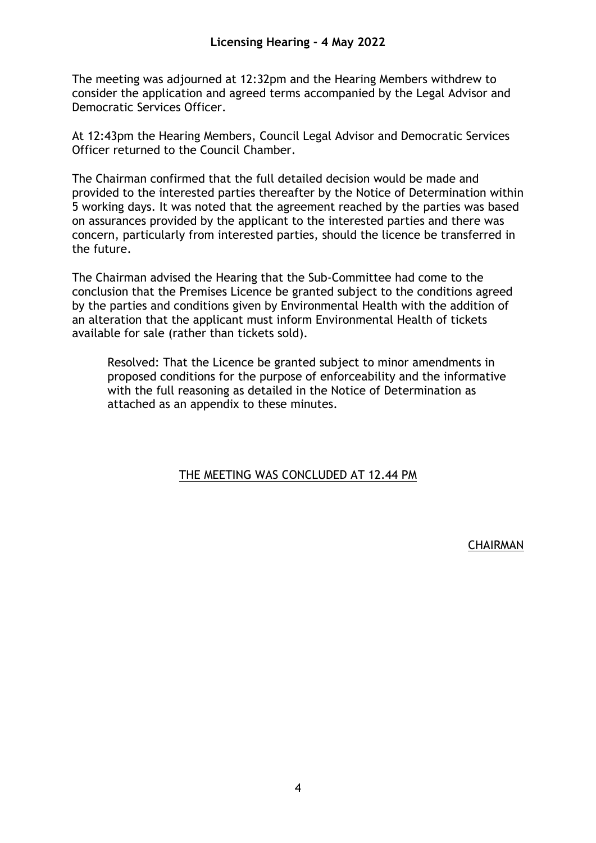The meeting was adjourned at 12:32pm and the Hearing Members withdrew to consider the application and agreed terms accompanied by the Legal Advisor and Democratic Services Officer.

At 12:43pm the Hearing Members, Council Legal Advisor and Democratic Services Officer returned to the Council Chamber.

The Chairman confirmed that the full detailed decision would be made and provided to the interested parties thereafter by the Notice of Determination within 5 working days. It was noted that the agreement reached by the parties was based on assurances provided by the applicant to the interested parties and there was concern, particularly from interested parties, should the licence be transferred in the future.

The Chairman advised the Hearing that the Sub-Committee had come to the conclusion that the Premises Licence be granted subject to the conditions agreed by the parties and conditions given by Environmental Health with the addition of an alteration that the applicant must inform Environmental Health of tickets available for sale (rather than tickets sold).

Resolved: That the Licence be granted subject to minor amendments in proposed conditions for the purpose of enforceability and the informative with the full reasoning as detailed in the Notice of Determination as attached as an appendix to these minutes.

## THE MEETING WAS CONCLUDED AT 12.44 PM

**CHAIRMAN**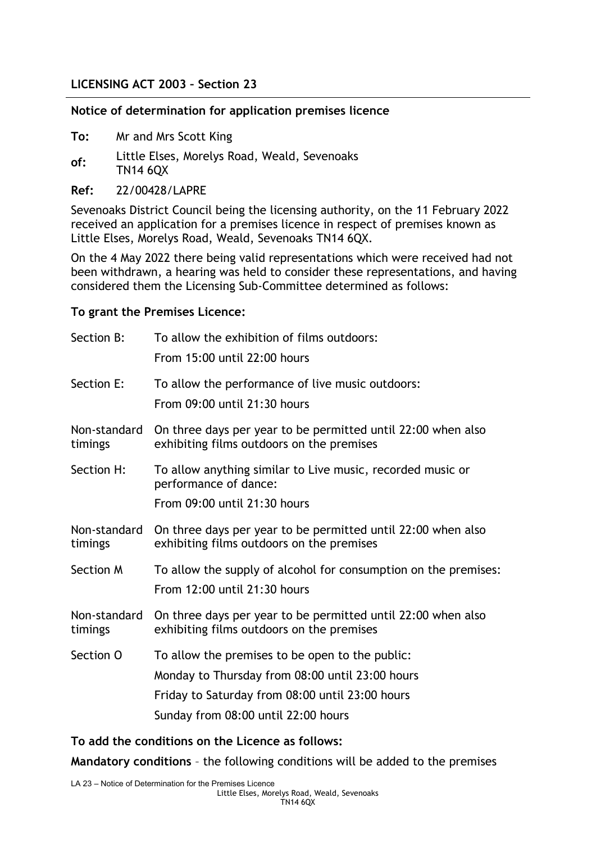## **LICENSING ACT 2003 – Section 23**

#### **Notice of determination for application premises licence**

- **To:** Mr and Mrs Scott King
- **of:** Little Elses, Morelys Road, Weald, Sevenoaks TN14 6QX
- **Ref:** 22/00428/LAPRE

Sevenoaks District Council being the licensing authority, on the 11 February 2022 received an application for a premises licence in respect of premises known as Little Elses, Morelys Road, Weald, Sevenoaks TN14 6QX.

On the 4 May 2022 there being valid representations which were received had not been withdrawn, a hearing was held to consider these representations, and having considered them the Licensing Sub-Committee determined as follows:

### **To grant the Premises Licence:**

| Section B:              | To allow the exhibition of films outdoors:<br>From 15:00 until 22:00 hours                                                                                                                   |
|-------------------------|----------------------------------------------------------------------------------------------------------------------------------------------------------------------------------------------|
| Section E:              | To allow the performance of live music outdoors:<br>From 09:00 until 21:30 hours                                                                                                             |
| Non-standard<br>timings | On three days per year to be permitted until 22:00 when also<br>exhibiting films outdoors on the premises                                                                                    |
| Section H:              | To allow anything similar to Live music, recorded music or<br>performance of dance:<br>From 09:00 until 21:30 hours                                                                          |
| Non-standard<br>timings | On three days per year to be permitted until 22:00 when also<br>exhibiting films outdoors on the premises                                                                                    |
| Section M               | To allow the supply of alcohol for consumption on the premises:<br>From 12:00 until 21:30 hours                                                                                              |
| Non-standard<br>timings | On three days per year to be permitted until 22:00 when also<br>exhibiting films outdoors on the premises                                                                                    |
| Section O               | To allow the premises to be open to the public:<br>Monday to Thursday from 08:00 until 23:00 hours<br>Friday to Saturday from 08:00 until 23:00 hours<br>Sunday from 08:00 until 22:00 hours |
|                         |                                                                                                                                                                                              |

**To add the conditions on the Licence as follows:**

**Mandatory conditions** – the following conditions will be added to the premises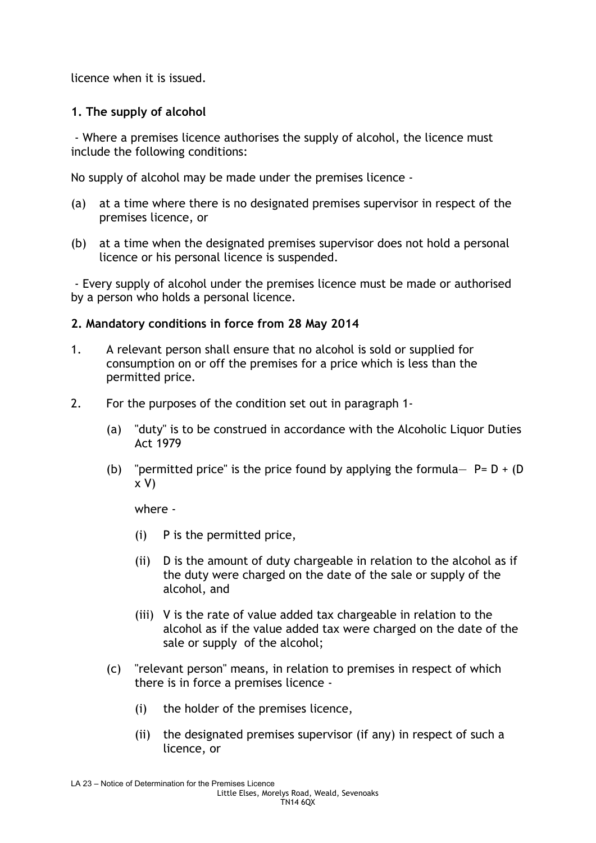licence when it is issued.

## **1. The supply of alcohol**

- Where a premises licence authorises the supply of alcohol, the licence must include the following conditions:

No supply of alcohol may be made under the premises licence -

- (a) at a time where there is no designated premises supervisor in respect of the premises licence, or
- (b) at a time when the designated premises supervisor does not hold a personal licence or his personal licence is suspended.

- Every supply of alcohol under the premises licence must be made or authorised by a person who holds a personal licence.

## **2. Mandatory conditions in force from 28 May 2014**

- 1. A relevant person shall ensure that no alcohol is sold or supplied for consumption on or off the premises for a price which is less than the permitted price.
- 2. For the purposes of the condition set out in paragraph 1-
	- (a) "duty" is to be construed in accordance with the Alcoholic Liquor Duties Act 1979
	- (b) "permitted price" is the price found by applying the formula-  $P = D + (D)$ x V)

where -

- (i) P is the permitted price,
- (ii) D is the amount of duty chargeable in relation to the alcohol as if the duty were charged on the date of the sale or supply of the alcohol, and
- (iii) V is the rate of value added tax chargeable in relation to the alcohol as if the value added tax were charged on the date of the sale or supply of the alcohol;
- (c) "relevant person" means, in relation to premises in respect of which there is in force a premises licence -
	- (i) the holder of the premises licence,
	- (ii) the designated premises supervisor (if any) in respect of such a licence, or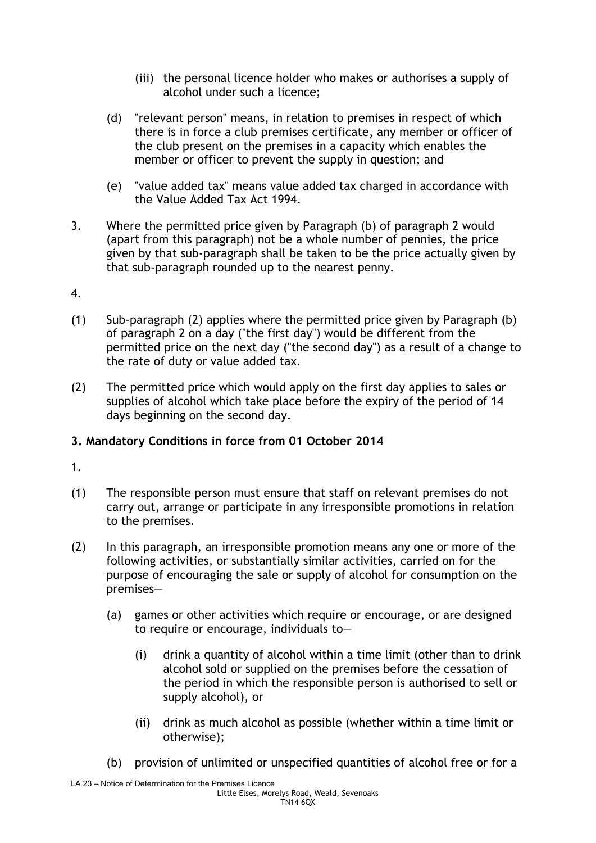- (iii) the personal licence holder who makes or authorises a supply of alcohol under such a licence;
- (d) "relevant person" means, in relation to premises in respect of which there is in force a club premises certificate, any member or officer of the club present on the premises in a capacity which enables the member or officer to prevent the supply in question; and
- (e) "value added tax" means value added tax charged in accordance with the Value Added Tax Act 1994.
- 3. Where the permitted price given by Paragraph (b) of paragraph 2 would (apart from this paragraph) not be a whole number of pennies, the price given by that sub-paragraph shall be taken to be the price actually given by that sub-paragraph rounded up to the nearest penny.
- 4.
- (1) Sub-paragraph (2) applies where the permitted price given by Paragraph (b) of paragraph 2 on a day ("the first day") would be different from the permitted price on the next day ("the second day") as a result of a change to the rate of duty or value added tax.
- (2) The permitted price which would apply on the first day applies to sales or supplies of alcohol which take place before the expiry of the period of 14 days beginning on the second day.

# **3. Mandatory Conditions in force from 01 October 2014**

- 1.
- (1) The responsible person must ensure that staff on relevant premises do not carry out, arrange or participate in any irresponsible promotions in relation to the premises.
- (2) In this paragraph, an irresponsible promotion means any one or more of the following activities, or substantially similar activities, carried on for the purpose of encouraging the sale or supply of alcohol for consumption on the premises—
	- (a) games or other activities which require or encourage, or are designed to require or encourage, individuals to—
		- (i) drink a quantity of alcohol within a time limit (other than to drink alcohol sold or supplied on the premises before the cessation of the period in which the responsible person is authorised to sell or supply alcohol), or
		- (ii) drink as much alcohol as possible (whether within a time limit or otherwise);
	- (b) provision of unlimited or unspecified quantities of alcohol free or for a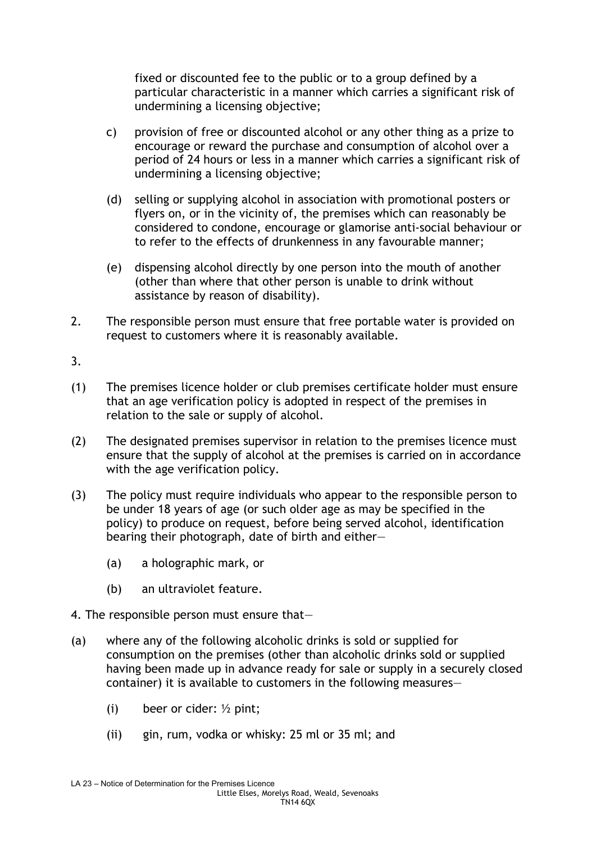fixed or discounted fee to the public or to a group defined by a particular characteristic in a manner which carries a significant risk of undermining a licensing objective;

- c) provision of free or discounted alcohol or any other thing as a prize to encourage or reward the purchase and consumption of alcohol over a period of 24 hours or less in a manner which carries a significant risk of undermining a licensing objective;
- (d) selling or supplying alcohol in association with promotional posters or flyers on, or in the vicinity of, the premises which can reasonably be considered to condone, encourage or glamorise anti-social behaviour or to refer to the effects of drunkenness in any favourable manner;
- (e) dispensing alcohol directly by one person into the mouth of another (other than where that other person is unable to drink without assistance by reason of disability).
- 2. The responsible person must ensure that free portable water is provided on request to customers where it is reasonably available.
- 3.
- (1) The premises licence holder or club premises certificate holder must ensure that an age verification policy is adopted in respect of the premises in relation to the sale or supply of alcohol.
- (2) The designated premises supervisor in relation to the premises licence must ensure that the supply of alcohol at the premises is carried on in accordance with the age verification policy.
- (3) The policy must require individuals who appear to the responsible person to be under 18 years of age (or such older age as may be specified in the policy) to produce on request, before being served alcohol, identification bearing their photograph, date of birth and either—
	- (a) a holographic mark, or
	- (b) an ultraviolet feature.
- 4. The responsible person must ensure that—
- (a) where any of the following alcoholic drinks is sold or supplied for consumption on the premises (other than alcoholic drinks sold or supplied having been made up in advance ready for sale or supply in a securely closed container) it is available to customers in the following measures—
	- (i) beer or cider:  $\frac{1}{2}$  pint;
	- (ii) gin, rum, vodka or whisky: 25 ml or 35 ml; and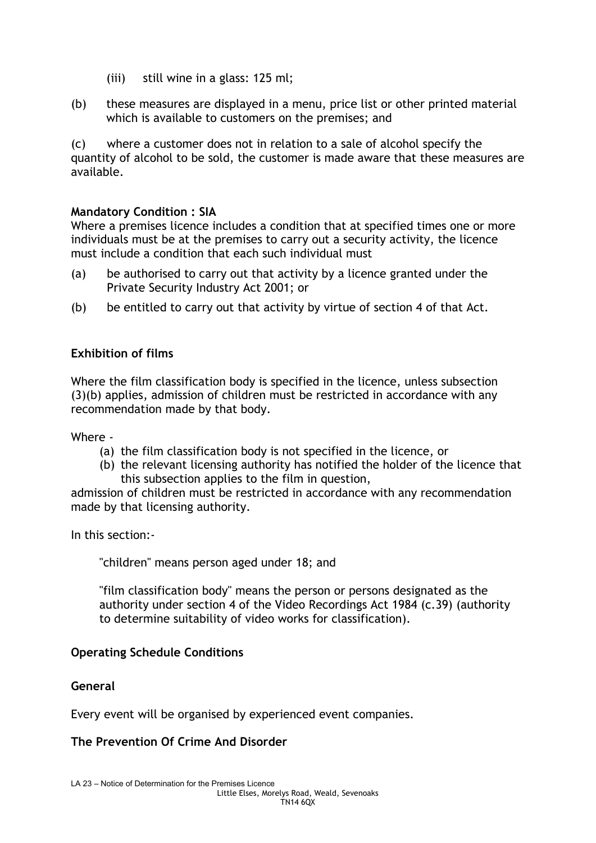- (iii) still wine in a glass: 125 ml;
- (b) these measures are displayed in a menu, price list or other printed material which is available to customers on the premises; and

(c) where a customer does not in relation to a sale of alcohol specify the quantity of alcohol to be sold, the customer is made aware that these measures are available.

## **Mandatory Condition : SIA**

Where a premises licence includes a condition that at specified times one or more individuals must be at the premises to carry out a security activity, the licence must include a condition that each such individual must

- (a) be authorised to carry out that activity by a licence granted under the Private Security Industry Act 2001; or
- (b) be entitled to carry out that activity by virtue of section 4 of that Act.

## **Exhibition of films**

Where the film classification body is specified in the licence, unless subsection (3)(b) applies, admission of children must be restricted in accordance with any recommendation made by that body.

Where -

- (a) the film classification body is not specified in the licence, or
- (b) the relevant licensing authority has notified the holder of the licence that this subsection applies to the film in question,

admission of children must be restricted in accordance with any recommendation made by that licensing authority.

In this section:-

"children" means person aged under 18; and

"film classification body" means the person or persons designated as the authority under section 4 of the Video Recordings Act 1984 (c.39) (authority to determine suitability of video works for classification).

## **Operating Schedule Conditions**

## **General**

Every event will be organised by experienced event companies.

## **The Prevention Of Crime And Disorder**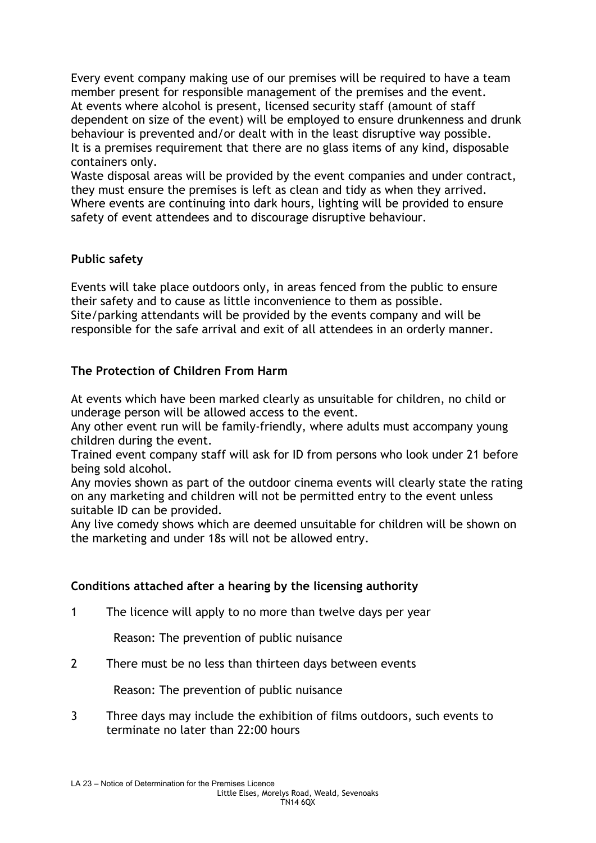Every event company making use of our premises will be required to have a team member present for responsible management of the premises and the event. At events where alcohol is present, licensed security staff (amount of staff dependent on size of the event) will be employed to ensure drunkenness and drunk behaviour is prevented and/or dealt with in the least disruptive way possible. It is a premises requirement that there are no glass items of any kind, disposable containers only.

Waste disposal areas will be provided by the event companies and under contract, they must ensure the premises is left as clean and tidy as when they arrived. Where events are continuing into dark hours, lighting will be provided to ensure safety of event attendees and to discourage disruptive behaviour.

## **Public safety**

Events will take place outdoors only, in areas fenced from the public to ensure their safety and to cause as little inconvenience to them as possible. Site/parking attendants will be provided by the events company and will be responsible for the safe arrival and exit of all attendees in an orderly manner.

## **The Protection of Children From Harm**

At events which have been marked clearly as unsuitable for children, no child or underage person will be allowed access to the event.

Any other event run will be family-friendly, where adults must accompany young children during the event.

Trained event company staff will ask for ID from persons who look under 21 before being sold alcohol.

Any movies shown as part of the outdoor cinema events will clearly state the rating on any marketing and children will not be permitted entry to the event unless suitable ID can be provided.

Any live comedy shows which are deemed unsuitable for children will be shown on the marketing and under 18s will not be allowed entry.

## **Conditions attached after a hearing by the licensing authority**

1 The licence will apply to no more than twelve days per year

Reason: The prevention of public nuisance

2 There must be no less than thirteen days between events

Reason: The prevention of public nuisance

3 Three days may include the exhibition of films outdoors, such events to terminate no later than 22:00 hours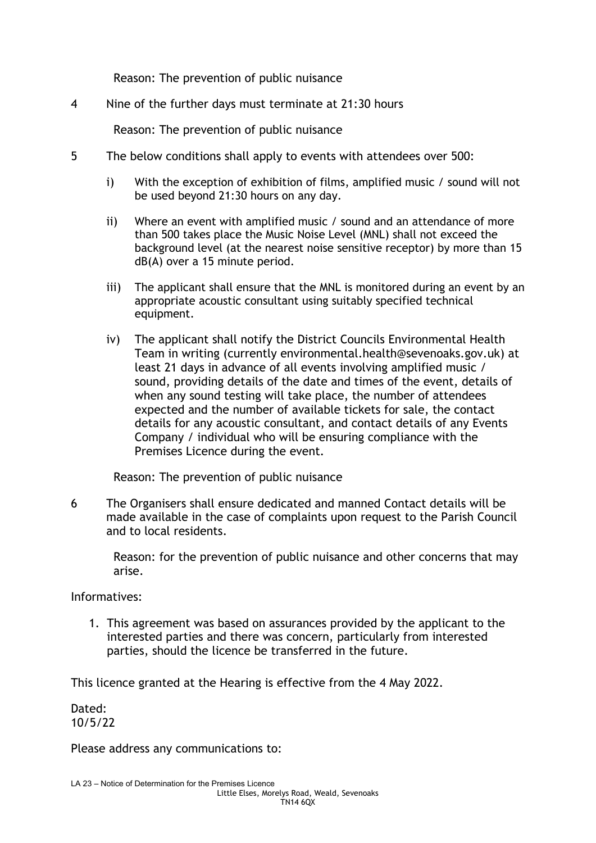Reason: The prevention of public nuisance

4 Nine of the further days must terminate at 21:30 hours

Reason: The prevention of public nuisance

- 5 The below conditions shall apply to events with attendees over 500:
	- i) With the exception of exhibition of films, amplified music / sound will not be used beyond 21:30 hours on any day.
	- ii) Where an event with amplified music / sound and an attendance of more than 500 takes place the Music Noise Level (MNL) shall not exceed the background level (at the nearest noise sensitive receptor) by more than 15 dB(A) over a 15 minute period.
	- iii) The applicant shall ensure that the MNL is monitored during an event by an appropriate acoustic consultant using suitably specified technical equipment.
	- iv) The applicant shall notify the District Councils Environmental Health Team in writing (currently environmental.health@sevenoaks.gov.uk) at least 21 days in advance of all events involving amplified music / sound, providing details of the date and times of the event, details of when any sound testing will take place, the number of attendees expected and the number of available tickets for sale, the contact details for any acoustic consultant, and contact details of any Events Company / individual who will be ensuring compliance with the Premises Licence during the event.

Reason: The prevention of public nuisance

6 The Organisers shall ensure dedicated and manned Contact details will be made available in the case of complaints upon request to the Parish Council and to local residents.

Reason: for the prevention of public nuisance and other concerns that may arise.

Informatives:

1. This agreement was based on assurances provided by the applicant to the interested parties and there was concern, particularly from interested parties, should the licence be transferred in the future.

This licence granted at the Hearing is effective from the 4 May 2022.

Dated: 10/5/22

Please address any communications to: